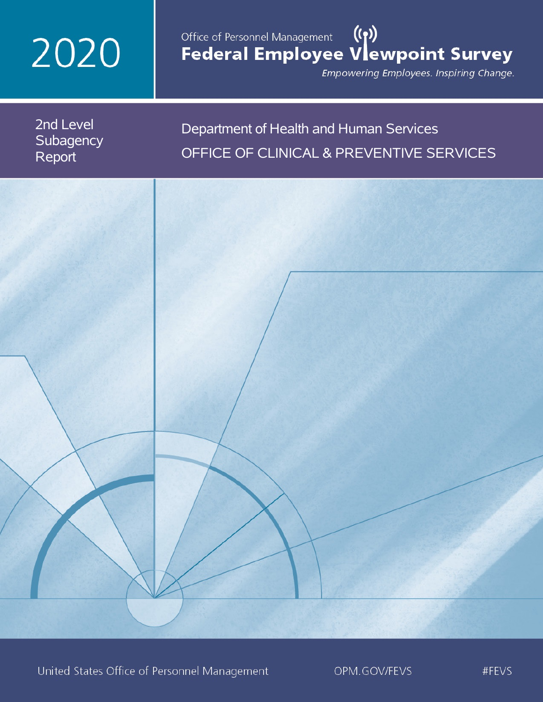# 2020

## Office of Personnel Management (())<br>Federal Employee Vlewpoint Survey

Empowering Employees. Inspiring Change.

2nd Level **Subagency** Report

## Department of Health and Human Services OFFICE OF CLINICAL & PREVENTIVE SERVICES

United States Office of Personnel Management

OPM.GOV/FEVS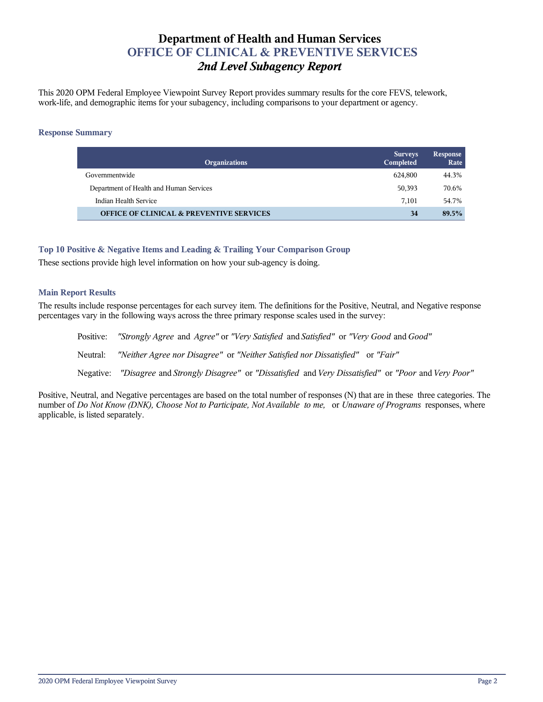## **Department of Health and Human Services OFFICE OF CLINICAL & PREVENTIVE SERVICES** *2nd Level Subagency Report*

This 2020 OPM Federal Employee Viewpoint Survey Report provides summary results for the core FEVS, telework, work-life, and demographic items for your subagency, including comparisons to your department or agency.

#### **Response Summary**

| <b>Organizations</b>                                | <b>Surveys</b><br>Completed | Response<br>Rate |
|-----------------------------------------------------|-----------------------------|------------------|
| Governmentwide                                      | 624.800                     | 44.3%            |
| Department of Health and Human Services             | 50,393                      | 70.6%            |
| Indian Health Service                               | 7.101                       | 54.7%            |
| <b>OFFICE OF CLINICAL &amp; PREVENTIVE SERVICES</b> | 34                          | 89.5%            |

#### **Top 10 Positive & Negative Items and Leading & Trailing Your Comparison Group**

These sections provide high level information on how your sub-agency is doing.

#### **Main Report Results**

The results include response percentages for each survey item. The definitions for the Positive, Neutral, and Negative response percentages vary in the following ways across the three primary response scales used in the survey:

Positive: *"Strongly Agree* and *Agree"* or *"Very Satisfied* and *Satisfied"* or *"Very Good* and *Good"* Neutral: *"Neither Agree nor Disagree"* or *"Neither Satisfied nor Dissatisfied"* or *"Fair"* Negative: *"Disagree* and *Strongly Disagree"* or *"Dissatisfied* and *Very Dissatisfied"* or *"Poor* and *Very Poor"*

Positive, Neutral, and Negative percentages are based on the total number of responses (N) that are in these three categories. The number of *Do Not Know (DNK), Choose Not to Participate, Not Available to me,* or *Unaware of Programs* responses, where applicable, is listed separately.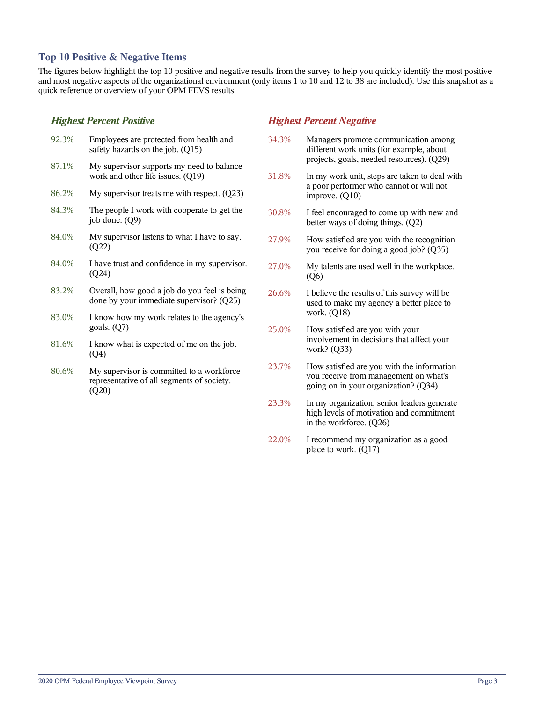#### **Top 10 Positive & Negative Items**

The figures below highlight the top 10 positive and negative results from the survey to help you quickly identify the most positive and most negative aspects of the organizational environment (only items 1 to 10 and 12 to 38 are included). Use this snapshot as a quick reference or overview of your OPM FEVS results.

#### *Highest Percent Positive*

(Q20)

| 92.3% | Employees are protected from health and<br>safety hazards on the job. (Q15)              |
|-------|------------------------------------------------------------------------------------------|
| 87.1% | My supervisor supports my need to balance<br>work and other life issues. (Q19)           |
| 86.2% | My supervisor treats me with respect. $(Q23)$                                            |
| 84.3% | The people I work with cooperate to get the<br>job done. (Q9)                            |
| 84.0% | My supervisor listens to what I have to say.<br>(Q22)                                    |
| 84.0% | I have trust and confidence in my supervisor.<br>(Q24)                                   |
| 83.2% | Overall, how good a job do you feel is being<br>done by your immediate supervisor? (Q25) |
| 83.0% | I know how my work relates to the agency's<br>goals. $(Q7)$                              |
| 81.6% | I know what is expected of me on the job.<br>(Q4)                                        |
| 80.6% | My supervisor is committed to a workforce.<br>representative of all segments of society. |

### *Highest Percent Negative*

- 34.3% Managers promote communication among different work units (for example, about projects, goals, needed resources). (Q29)
- 31.8% In my work unit, steps are taken to deal with a poor performer who cannot or will not improve. (Q10)
- 30.8% I feel encouraged to come up with new and better ways of doing things. (Q2)
- 27.9% How satisfied are you with the recognition you receive for doing a good job? (Q35)
- 27.0% My talents are used well in the workplace. (Q6)
- 26.6% I believe the results of this survey will be used to make my agency a better place to work. (Q18)
- 25.0% How satisfied are you with your involvement in decisions that affect your work? (Q33)
- 23.7% How satisfied are you with the information you receive from management on what's going on in your organization? (Q34)
- 23.3% In my organization, senior leaders generate high levels of motivation and commitment in the workforce. (Q26)
- 22.0% I recommend my organization as a good place to work. (Q17)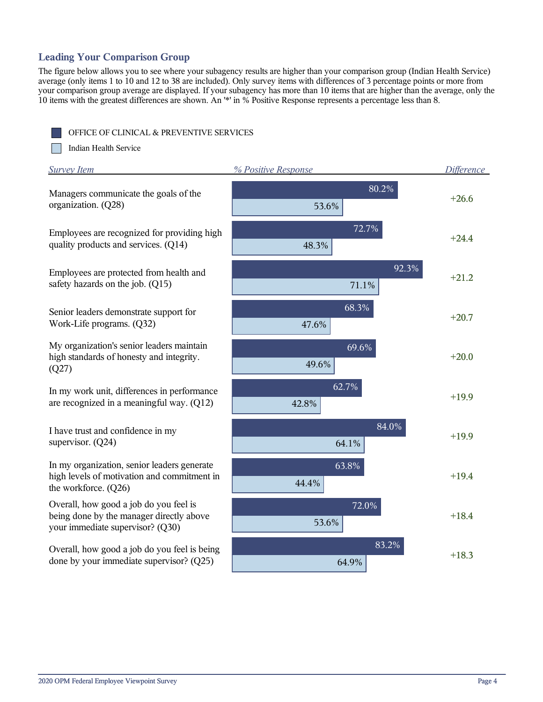## **Leading Your Comparison Group**

The figure below allows you to see where your subagency results are higher than your comparison group (Indian Health Service) average (only items 1 to 10 and 12 to 38 are included). Only survey items with differences of 3 percentage points or more from your comparison group average are displayed. If your subagency has more than 10 items that are higher than the average, only the 10 items with the greatest differences are shown. An '\*' in % Positive Response represents a percentage less than 8.

OFFICE OF CLINICAL & PREVENTIVE SERVICES

m Indian Health Service

| <b>Survey Item</b>                                                                                                     | % Positive Response | <b>Difference</b> |
|------------------------------------------------------------------------------------------------------------------------|---------------------|-------------------|
| Managers communicate the goals of the<br>organization. (Q28)                                                           | 80.2%<br>53.6%      | $+26.6$           |
| Employees are recognized for providing high<br>quality products and services. (Q14)                                    | 72.7%<br>48.3%      | $+24.4$           |
| Employees are protected from health and<br>safety hazards on the job. (Q15)                                            | 92.3%<br>71.1%      | $+21.2$           |
| Senior leaders demonstrate support for<br>Work-Life programs. (Q32)                                                    | 68.3%<br>47.6%      | $+20.7$           |
| My organization's senior leaders maintain<br>high standards of honesty and integrity.<br>(Q27)                         | 69.6%<br>49.6%      | $+20.0$           |
| In my work unit, differences in performance<br>are recognized in a meaningful way. (Q12)                               | 62.7%<br>42.8%      | $+19.9$           |
| I have trust and confidence in my<br>supervisor. $(Q24)$                                                               | 84.0%<br>64.1%      | $+19.9$           |
| In my organization, senior leaders generate<br>high levels of motivation and commitment in<br>the workforce. (Q26)     | 63.8%<br>44.4%      | $+19.4$           |
| Overall, how good a job do you feel is<br>being done by the manager directly above<br>your immediate supervisor? (Q30) | 72.0%<br>53.6%      | $+18.4$           |
| Overall, how good a job do you feel is being<br>done by your immediate supervisor? (Q25)                               | 83.2%<br>64.9%      | $+18.3$           |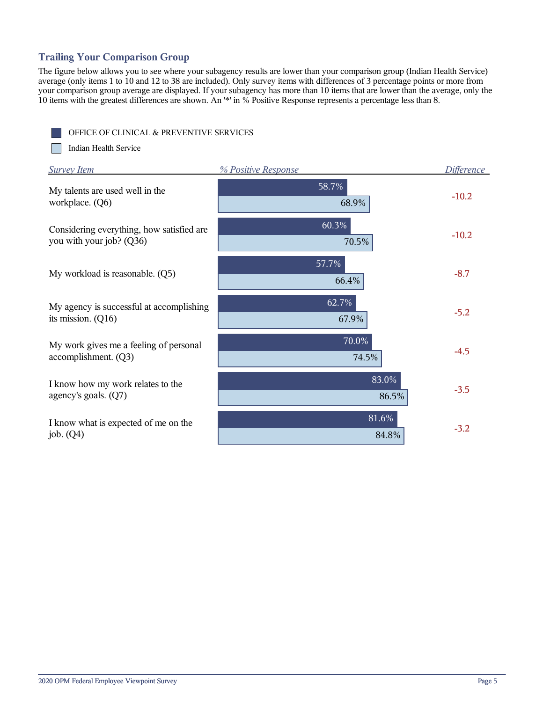## **Trailing Your Comparison Group**

The figure below allows you to see where your subagency results are lower than your comparison group (Indian Health Service) average (only items 1 to 10 and 12 to 38 are included). Only survey items with differences of 3 percentage points or more from your comparison group average are displayed. If your subagency has more than 10 items that are lower than the average, only the 10 items with the greatest differences are shown. An '\*' in % Positive Response represents a percentage less than 8.

OFFICE OF CLINICAL & PREVENTIVE SERVICES

m Indian Health Service

| <b>Survey Item</b>                                                    | % Positive Response | <b>Difference</b> |
|-----------------------------------------------------------------------|---------------------|-------------------|
| My talents are used well in the<br>workplace. (Q6)                    | 58.7%<br>68.9%      | $-10.2$           |
| Considering everything, how satisfied are<br>you with your job? (Q36) | 60.3%<br>70.5%      | $-10.2$           |
| My workload is reasonable. (Q5)                                       | 57.7%<br>66.4%      | $-8.7$            |
| My agency is successful at accomplishing<br>its mission. $(Q16)$      | 62.7%<br>67.9%      | $-5.2$            |
| My work gives me a feeling of personal<br>accomplishment. (Q3)        | 70.0%<br>74.5%      | $-4.5$            |
| I know how my work relates to the<br>agency's goals. (Q7)             | 83.0%<br>86.5%      | $-3.5$            |
| I know what is expected of me on the<br>job. $(Q4)$                   | 81.6%<br>84.8%      | $-3.2$            |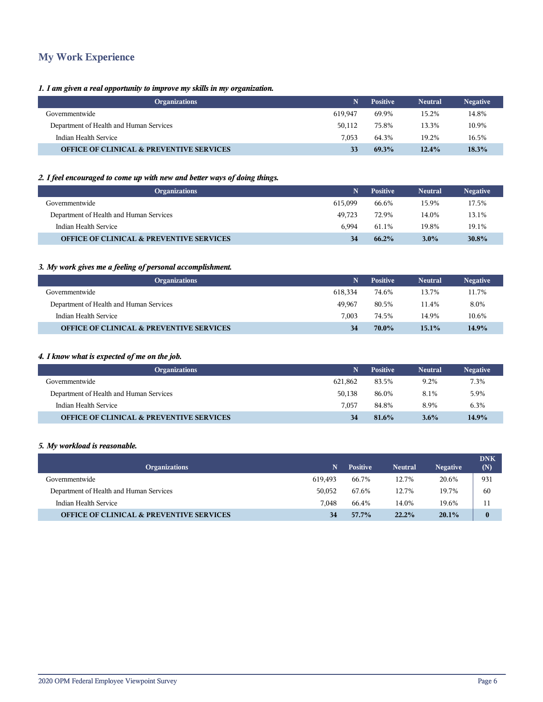## **My Work Experience**

#### *1. I am given a real opportunity to improve my skills in my organization.*

| <b>Organizations</b>                                |         | <b>Positive</b> | <b>Neutral</b> | <b>Negative</b> |
|-----------------------------------------------------|---------|-----------------|----------------|-----------------|
| Governmentwide                                      | 619.947 | 69.9%           | 15.2%          | 14.8%           |
| Department of Health and Human Services             | 50.112  | 75.8%           | 13.3%          | 10.9%           |
| Indian Health Service                               | 7.053   | 64.3%           | 19.2%          | 16.5%           |
| <b>OFFICE OF CLINICAL &amp; PREVENTIVE SERVICES</b> | 33      | 69.3%           | $12.4\%$       | 18.3%           |

#### *2. I feel encouraged to come up with new and better ways of doing things.*

| <b>Organizations</b>                                |         | <b>Positive</b> | <b>Neutral</b> | <b>Negative</b> |
|-----------------------------------------------------|---------|-----------------|----------------|-----------------|
| Governmentwide                                      | 615.099 | 66.6%           | 15.9%          | 17.5%           |
| Department of Health and Human Services             | 49.723  | 72.9%           | 14.0%          | 13.1%           |
| Indian Health Service                               | 6.994   | 61.1%           | 19.8%          | 19.1%           |
| <b>OFFICE OF CLINICAL &amp; PREVENTIVE SERVICES</b> |         | $66.2\%$        | $3.0\%$        | 30.8%           |

#### *3. My work gives me a feeling of personal accomplishment.*

| <b>Organizations</b>                                |         | <b>Positive</b> | <b>Neutral</b> | <b>Negative</b> |
|-----------------------------------------------------|---------|-----------------|----------------|-----------------|
| Governmentwide                                      | 618.334 | 74.6%           | 13.7%          | 11.7%           |
| Department of Health and Human Services             | 49.967  | 80.5%           | 11.4%          | 8.0%            |
| Indian Health Service                               | 7.003   | 74.5%           | 14.9%          | 10.6%           |
| <b>OFFICE OF CLINICAL &amp; PREVENTIVE SERVICES</b> |         | $70.0\%$        | $15.1\%$       | 14.9%           |

#### *4. I know what is expected of me on the job.*

| <b>Organizations</b>                                |         | <b>Positive</b> | <b>Neutral</b> | <b>Negative</b> |
|-----------------------------------------------------|---------|-----------------|----------------|-----------------|
| Governmentwide                                      | 621.862 | 83.5%           | 9.2%           | 7.3%            |
| Department of Health and Human Services             | 50,138  | 86.0%           | 8.1%           | 5.9%            |
| Indian Health Service                               | 7.057   | 84.8%           | 8.9%           | 6.3%            |
| <b>OFFICE OF CLINICAL &amp; PREVENTIVE SERVICES</b> | 34      | 81.6%           | $3.6\%$        | 14.9%           |

#### *5. My workload is reasonable.*

| <b>Organizations</b>                                | N       | <b>Positive</b> | <b>Neutral</b> | <b>Negative</b> | <b>DNK</b><br>(N) |
|-----------------------------------------------------|---------|-----------------|----------------|-----------------|-------------------|
| Governmentwide                                      | 619.493 | 66.7%           | 12.7%          | 20.6%           | 931               |
| Department of Health and Human Services             | 50,052  | 67.6%           | 12.7%          | 19.7%           | 60                |
| Indian Health Service                               | 7.048   | 66.4%           | 14.0%          | 19.6%           | 11                |
| <b>OFFICE OF CLINICAL &amp; PREVENTIVE SERVICES</b> | 34      | 57.7%           | 22.2%          | 20.1%           | $\mathbf{0}$      |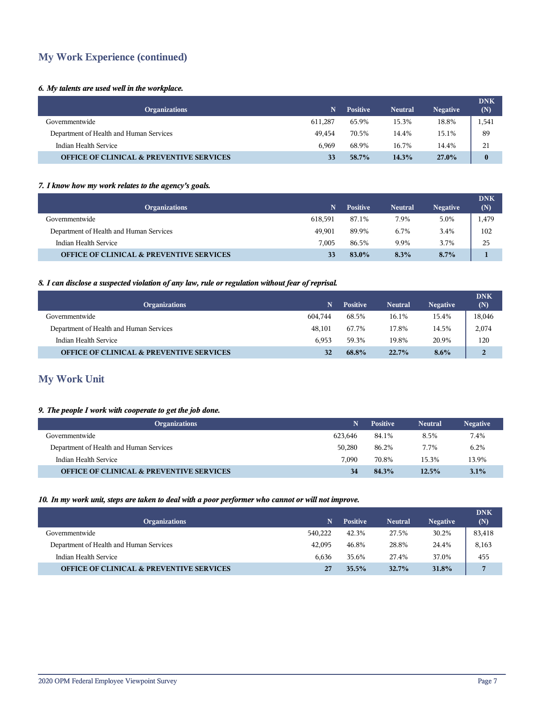## **My Work Experience (continued)**

#### *6. My talents are used well in the workplace.*

| <b>Organizations</b>                                | N       | <b>Positive</b> | <b>Neutral</b> | <b>Negative</b> | <b>DNK</b><br>(N) |
|-----------------------------------------------------|---------|-----------------|----------------|-----------------|-------------------|
| Governmentwide                                      | 611,287 | 65.9%           | 15.3%          | 18.8%           | 1,541             |
| Department of Health and Human Services             | 49.454  | 70.5%           | 14.4%          | 15.1%           | 89                |
| Indian Health Service                               | 6.969   | 68.9%           | 16.7%          | 14.4%           | 21                |
| <b>OFFICE OF CLINICAL &amp; PREVENTIVE SERVICES</b> |         | 58.7%           | 14.3%          | 27.0%           | $\bf{0}$          |

#### *7. I know how my work relates to the agency's goals.*

| <b>Organizations</b>                                | 'N.     | <b>Positive</b> | <b>Neutral</b> | <b>Negative</b> | <b>DNK</b><br>(N) |
|-----------------------------------------------------|---------|-----------------|----------------|-----------------|-------------------|
| Governmentwide                                      | 618,591 | 87.1%           | 7.9%           | 5.0%            | 1,479             |
| Department of Health and Human Services             | 49.901  | 89.9%           | 6.7%           | 3.4%            | 102               |
| Indian Health Service                               | 7.005   | 86.5%           | 9.9%           | 3.7%            | 25                |
| <b>OFFICE OF CLINICAL &amp; PREVENTIVE SERVICES</b> |         | 83.0%           | 8.3%           | $8.7\%$         |                   |

#### *8. I can disclose a suspected violation of any law, rule or regulation without fear of reprisal.*

| <b>Organizations</b>                                | N       | <b>Positive</b> | <b>Neutral</b> | <b>Negative</b> | <b>DNK</b><br>(N) |
|-----------------------------------------------------|---------|-----------------|----------------|-----------------|-------------------|
| Governmentwide                                      | 604.744 | 68.5%           | 16.1%          | 15.4%           | 18,046            |
| Department of Health and Human Services             | 48.101  | 67.7%           | 17.8%          | 14.5%           | 2,074             |
| Indian Health Service                               | 6.953   | 59.3%           | 19.8%          | 20.9%           | 120               |
| <b>OFFICE OF CLINICAL &amp; PREVENTIVE SERVICES</b> | 32      | 68.8%           | 22.7%          | $8.6\%$         | 2                 |

## **My Work Unit**

#### *9. The people I work with cooperate to get the job done.*

| <b>Organizations</b>                                |         | <b>Positive</b> | <b>Neutral</b> | <b>Negative</b> |
|-----------------------------------------------------|---------|-----------------|----------------|-----------------|
| Governmentwide                                      | 623.646 | 84.1%           | 8.5%           | 7.4%            |
| Department of Health and Human Services             | 50.280  | 86.2%           | 7.7%           | 6.2%            |
| Indian Health Service                               | 7.090   | 70.8%           | 15.3%          | 13.9%           |
| <b>OFFICE OF CLINICAL &amp; PREVENTIVE SERVICES</b> | 34      | 84.3%           | 12.5%          | $3.1\%$         |

#### *10. In my work unit, steps are taken to deal with a poor performer who cannot or will not improve.*

|                                                     |         |                 |                |                 | <b>DNK</b>     |
|-----------------------------------------------------|---------|-----------------|----------------|-----------------|----------------|
| <b>Organizations</b>                                | 'N.     | <b>Positive</b> | <b>Neutral</b> | <b>Negative</b> | (N)            |
| Governmentwide                                      | 540,222 | 42.3%           | 27.5%          | 30.2%           | 83,418         |
| Department of Health and Human Services             | 42.095  | 46.8%           | 28.8%          | 24.4%           | 8,163          |
| Indian Health Service                               | 6.636   | 35.6%           | 27.4%          | 37.0%           | 455            |
| <b>OFFICE OF CLINICAL &amp; PREVENTIVE SERVICES</b> | 27      | 35.5%           | 32.7%          | 31.8%           | $\overline{7}$ |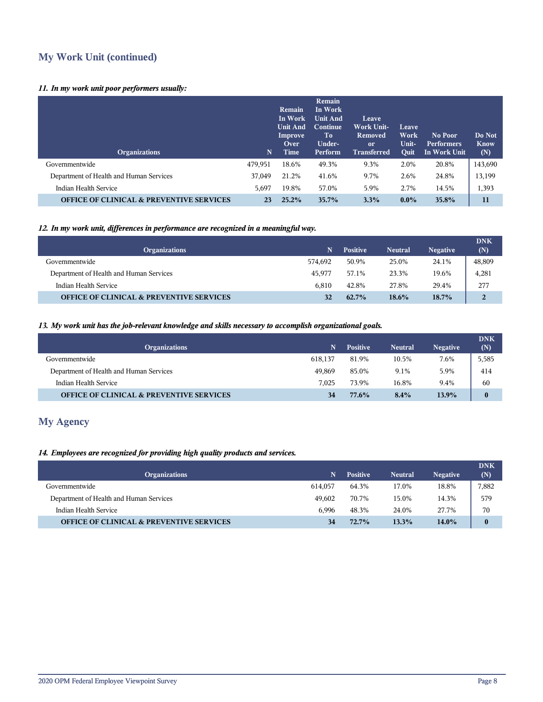## **My Work Unit (continued)**

#### *11. In my work unit poor performers usually:*

| <b>Organizations</b>                                | 'N.     | Remain<br>In Work<br><b>Unit And</b><br>Improve<br>Over<br>Time | Remain<br>In Work<br><b>Unit And</b><br>Continue<br>T <sub>0</sub><br>Under-<br>Perform | Leave.<br><b>Work Unit-</b><br><b>Removed</b><br><sub>or</sub><br><b>Transferred</b> | Leave<br>Work<br>Unit-<br><b>Ouit</b> | No Poor<br><b>Performers</b><br>In Work Unit | Do Not<br><b>Know</b><br>(N) |
|-----------------------------------------------------|---------|-----------------------------------------------------------------|-----------------------------------------------------------------------------------------|--------------------------------------------------------------------------------------|---------------------------------------|----------------------------------------------|------------------------------|
| Governmentwide                                      | 479.951 | 18.6%                                                           | 49.3%                                                                                   | 9.3%                                                                                 | 2.0%                                  | 20.8%                                        | 143,690                      |
| Department of Health and Human Services             | 37,049  | 21.2%                                                           | 41.6%                                                                                   | 9.7%                                                                                 | 2.6%                                  | 24.8%                                        | 13,199                       |
| Indian Health Service                               | 5,697   | 19.8%                                                           | 57.0%                                                                                   | 5.9%                                                                                 | 2.7%                                  | 14.5%                                        | 1,393                        |
| <b>OFFICE OF CLINICAL &amp; PREVENTIVE SERVICES</b> | 23      | 25.2%                                                           | 35.7%                                                                                   | 3.3%                                                                                 | $0.0\%$                               | 35.8%                                        | 11                           |

#### *12. In my work unit, differences in performance are recognized in a meaningful way.*

| <b>Organizations</b>                                | N       | <b>Positive</b> | <b>Neutral</b> | <b>Negative</b> | <b>DNK</b><br>(N) |
|-----------------------------------------------------|---------|-----------------|----------------|-----------------|-------------------|
| Governmentwide                                      | 574.692 | 50.9%           | 25.0%          | 24.1%           | 48,809            |
| Department of Health and Human Services             | 45.977  | 57.1%           | 23.3%          | 19.6%           | 4,281             |
| Indian Health Service                               | 6.810   | 42.8%           | 27.8%          | 29.4%           | 277               |
| <b>OFFICE OF CLINICAL &amp; PREVENTIVE SERVICES</b> | 32      | $62.7\%$        | $18.6\%$       | 18.7%           | 2                 |

#### *13. My work unit has the job-relevant knowledge and skills necessary to accomplish organizational goals.*

| <b>Organizations</b>                                | N       | <b>Positive</b> | <b>Neutral</b> | <b>Negative</b> | <b>DNK</b><br>(N) |
|-----------------------------------------------------|---------|-----------------|----------------|-----------------|-------------------|
| Governmentwide                                      | 618.137 | 81.9%           | 10.5%          | 7.6%            | 5,585             |
| Department of Health and Human Services             | 49.869  | 85.0%           | 9.1%           | 5.9%            | 414               |
| Indian Health Service                               | 7.025   | 73.9%           | 16.8%          | 9.4%            | 60                |
| <b>OFFICE OF CLINICAL &amp; PREVENTIVE SERVICES</b> | 34      | 77.6%           | 8.4%           | 13.9%           | $\mathbf{0}$      |

## **My Agency**

#### *14. Employees are recognized for providing high quality products and services.*

| <b>Organizations</b>                                | N       | <b>Positive</b> | <b>Neutral</b> | <b>Negative</b> | <b>DNK</b><br>(N) |
|-----------------------------------------------------|---------|-----------------|----------------|-----------------|-------------------|
| Governmentwide                                      | 614.057 | 64.3%           | 17.0%          | 18.8%           | 7,882             |
| Department of Health and Human Services             | 49.602  | 70.7%           | 15.0%          | 14.3%           | 579               |
| Indian Health Service                               | 6.996   | 48.3%           | 24.0%          | 27.7%           | 70                |
| <b>OFFICE OF CLINICAL &amp; PREVENTIVE SERVICES</b> | 34      | 72.7%           | 13.3%          | 14.0%           | $\boldsymbol{0}$  |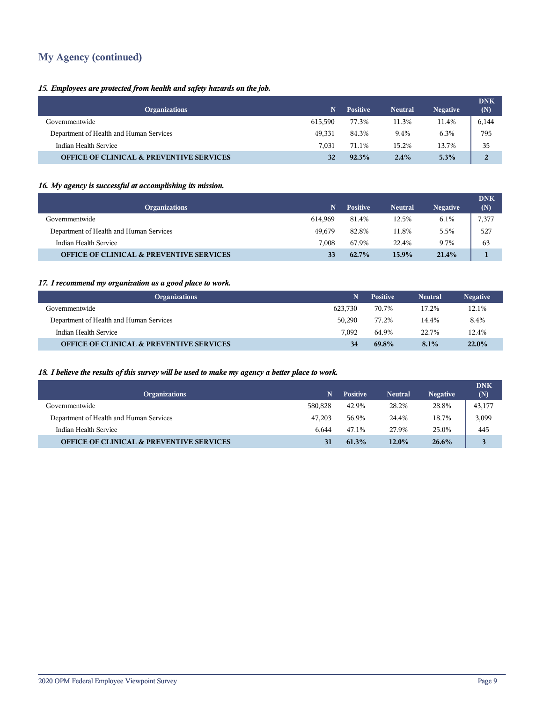## **My Agency (continued)**

#### *15. Employees are protected from health and safety hazards on the job.*

| <b>Organizations</b>                                | N       | <b>Positive</b> | <b>Neutral</b> | <b>Negative</b> | <b>DNK</b><br>(N) |
|-----------------------------------------------------|---------|-----------------|----------------|-----------------|-------------------|
| Governmentwide                                      | 615.590 | 77.3%           | 11.3%          | 11.4%           | 6,144             |
| Department of Health and Human Services             | 49,331  | 84.3%           | 9.4%           | 6.3%            | 795               |
| Indian Health Service                               | 7.031   | 71.1%           | 15.2%          | 13.7%           | 35                |
| <b>OFFICE OF CLINICAL &amp; PREVENTIVE SERVICES</b> |         | 92.3%           | 2.4%           | 5.3%            |                   |

#### *16. My agency is successful at accomplishing its mission.*

| <b>Organizations</b>                                | N       | <b>Positive</b> | <b>Neutral</b> | <b>Negative</b> | <b>DNK</b><br>(N) |
|-----------------------------------------------------|---------|-----------------|----------------|-----------------|-------------------|
| Governmentwide                                      | 614.969 | 81.4%           | 12.5%          | 6.1%            | 7,377             |
| Department of Health and Human Services             | 49.679  | 82.8%           | 11.8%          | 5.5%            | 527               |
| Indian Health Service                               | 7.008   | 67.9%           | 22.4%          | 9.7%            | 63                |
| <b>OFFICE OF CLINICAL &amp; PREVENTIVE SERVICES</b> |         | 62.7%           | 15.9%          | 21.4%           |                   |

#### *17. I recommend my organization as a good place to work.*

| <b>Organizations</b>                                |         | <b>Positive</b> | <b>Neutral</b> | <b>Negative</b> |
|-----------------------------------------------------|---------|-----------------|----------------|-----------------|
| Governmentwide                                      | 623.730 | 70.7%           | 17.2%          | 12.1%           |
| Department of Health and Human Services             | 50.290  | 77.2%           | 14.4%          | 8.4%            |
| Indian Health Service                               | 7.092   | 64.9%           | 22.7%          | 12.4%           |
| <b>OFFICE OF CLINICAL &amp; PREVENTIVE SERVICES</b> | 34      | 69.8%           | 8.1%           | 22.0%           |

#### *18. I believe the results of this survey will be used to make my agency a better place to work.*

|                                                     |         |                 |                |                 | <b>DNK</b> |
|-----------------------------------------------------|---------|-----------------|----------------|-----------------|------------|
| <b>Organizations</b>                                | N.      | <b>Positive</b> | <b>Neutral</b> | <b>Negative</b> | (N)        |
| Governmentwide                                      | 580,828 | 42.9%           | 28.2%          | 28.8%           | 43,177     |
| Department of Health and Human Services             | 47.203  | 56.9%           | 24.4%          | 18.7%           | 3,099      |
| Indian Health Service                               | 6.644   | 47.1%           | 27.9%          | 25.0%           | 445        |
| <b>OFFICE OF CLINICAL &amp; PREVENTIVE SERVICES</b> | 31      | 61.3%           | 12.0%          | 26.6%           |            |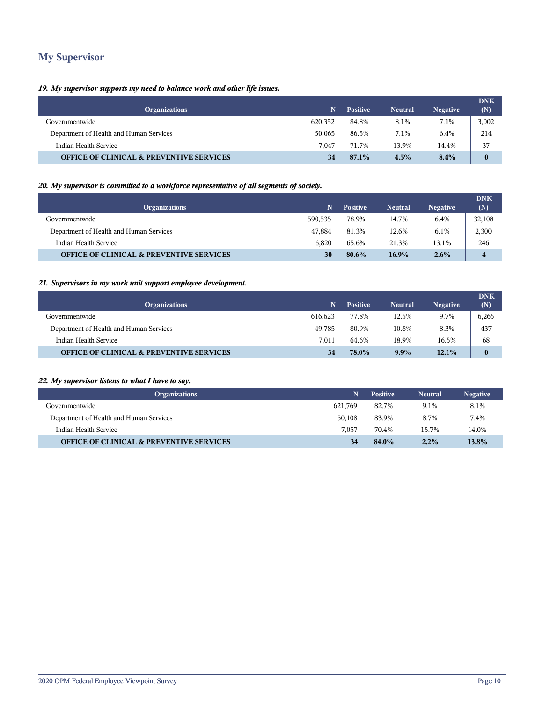## **My Supervisor**

#### *19. My supervisor supports my need to balance work and other life issues.*

| <b>Organizations</b>                                | N       | <b>Positive</b> | <b>Neutral</b> | <b>Negative</b> | <b>DNK</b><br>(N) |
|-----------------------------------------------------|---------|-----------------|----------------|-----------------|-------------------|
| Governmentwide                                      | 620,352 | 84.8%           | 8.1%           | 7.1%            | 3,002             |
| Department of Health and Human Services             | 50,065  | 86.5%           | 7.1%           | 6.4%            | 214               |
| Indian Health Service                               | 7.047   | 71.7%           | 13.9%          | 14.4%           | 37                |
| <b>OFFICE OF CLINICAL &amp; PREVENTIVE SERVICES</b> |         | 87.1%           | 4.5%           | 8.4%            | $\bf{0}$          |

#### *20. My supervisor is committed to a workforce representative of all segments of society.*

| <b>Organizations</b>                                | N       | <b>Positive</b> | <b>Neutral</b> | <b>Negative</b> | <b>DNK</b><br>(N) |
|-----------------------------------------------------|---------|-----------------|----------------|-----------------|-------------------|
| Governmentwide                                      | 590.535 | 78.9%           | 14.7%          | 6.4%            | 32,108            |
| Department of Health and Human Services             | 47.884  | 81.3%           | 12.6%          | $6.1\%$         | 2,300             |
| Indian Health Service                               | 6.820   | 65.6%           | 21.3%          | 13.1%           | 246               |
| <b>OFFICE OF CLINICAL &amp; PREVENTIVE SERVICES</b> | 30      | 80.6%           | $16.9\%$       | $2.6\%$         | $\overline{4}$    |

#### *21. Supervisors in my work unit support employee development.*

| <b>Organizations</b>                                | N       | <b>Positive</b> | <b>Neutral</b> | <b>Negative</b> | <b>DNK</b><br>(N) |
|-----------------------------------------------------|---------|-----------------|----------------|-----------------|-------------------|
| Governmentwide                                      | 616.623 | 77.8%           | 12.5%          | 9.7%            | 6,265             |
| Department of Health and Human Services             | 49.785  | 80.9%           | 10.8%          | 8.3%            | 437               |
| Indian Health Service                               | 7.011   | 64.6%           | 18.9%          | 16.5%           | 68                |
| <b>OFFICE OF CLINICAL &amp; PREVENTIVE SERVICES</b> | 34      | 78.0%           | $9.9\%$        | 12.1%           | $\bf{0}$          |

#### *22. My supervisor listens to what I have to say.*

| <b>Organizations</b>                                | N       | <b>Positive</b> | <b>Neutral</b> | <b>Negative</b> |
|-----------------------------------------------------|---------|-----------------|----------------|-----------------|
| Governmentwide                                      | 621.769 | 82.7%           | 9.1%           | 8.1%            |
| Department of Health and Human Services             | 50.108  | 83.9%           | 8.7%           | 7.4%            |
| Indian Health Service                               | 7.057   | 70.4%           | 15.7%          | 14.0%           |
| <b>OFFICE OF CLINICAL &amp; PREVENTIVE SERVICES</b> | 34      | 84.0%           | 2.2%           | 13.8%           |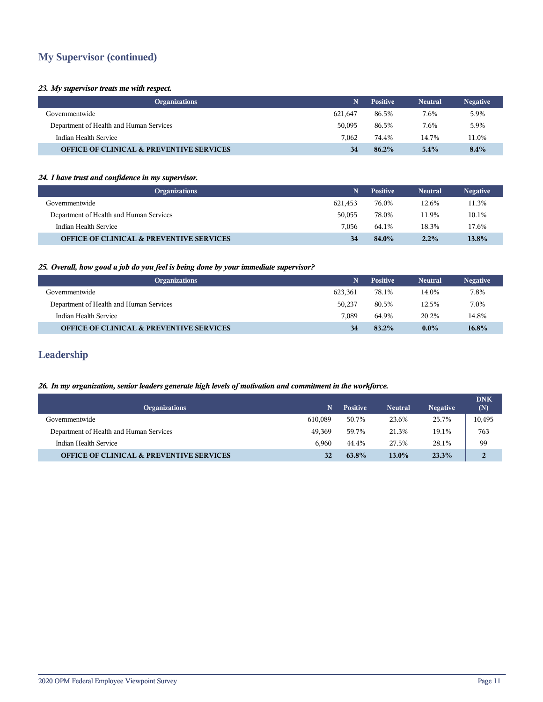## **My Supervisor (continued)**

#### *23. My supervisor treats me with respect.*

| <b>Organizations</b>                                |         | <b>Positive</b> | <b>Neutral</b> | <b>Negative</b> |
|-----------------------------------------------------|---------|-----------------|----------------|-----------------|
| Governmentwide                                      | 621.647 | 86.5%           | 7.6%           | 5.9%            |
| Department of Health and Human Services             | 50.095  | 86.5%           | 7.6%           | 5.9%            |
| Indian Health Service                               | 7.062   | 74.4%           | 14.7%          | 11.0%           |
| <b>OFFICE OF CLINICAL &amp; PREVENTIVE SERVICES</b> | 34      | $86.2\%$        | $5.4\%$        | 8.4%            |

#### *24. I have trust and confidence in my supervisor.*

| <b>Organizations</b>                                |         | <b>Positive</b> | <b>Neutral</b> | <b>Negative</b> |
|-----------------------------------------------------|---------|-----------------|----------------|-----------------|
| Governmentwide                                      | 621.453 | 76.0%           | 12.6%          | 11.3%           |
| Department of Health and Human Services             | 50.055  | 78.0%           | 11.9%          | 10.1%           |
| Indian Health Service                               | 7.056   | 64.1%           | 18.3%          | 17.6%           |
| <b>OFFICE OF CLINICAL &amp; PREVENTIVE SERVICES</b> | 34      | 84.0%           | 2.2%           | 13.8%           |

#### *25. Overall, how good a job do you feel is being done by your immediate supervisor?*

| <b>Organizations</b>                                |         | <b>Positive</b> | <b>Neutral</b> | <b>Negative</b> |
|-----------------------------------------------------|---------|-----------------|----------------|-----------------|
| Governmentwide                                      | 623.361 | 78.1%           | 14.0%          | 7.8%            |
| Department of Health and Human Services             | 50.237  | 80.5%           | 12.5%          | 7.0%            |
| Indian Health Service                               | 7.089   | 64.9%           | 20.2%          | 14.8%           |
| <b>OFFICE OF CLINICAL &amp; PREVENTIVE SERVICES</b> | 34      | 83.2%           | $0.0\%$        | $16.8\%$        |

## **Leadership**

#### *26. In my organization, senior leaders generate high levels of motivation and commitment in the workforce.*

|                                                     |         |                 |                |                 | <b>DNK</b>     |
|-----------------------------------------------------|---------|-----------------|----------------|-----------------|----------------|
| <b>Organizations</b>                                | N       | <b>Positive</b> | <b>Neutral</b> | <b>Negative</b> | (N)            |
| Governmentwide                                      | 610.089 | 50.7%           | 23.6%          | 25.7%           | 10,495         |
| Department of Health and Human Services             | 49.369  | 59.7%           | 21.3%          | 19.1%           | 763            |
| Indian Health Service                               | 6.960   | 44.4%           | 27.5%          | 28.1%           | 99             |
| <b>OFFICE OF CLINICAL &amp; PREVENTIVE SERVICES</b> | 32      | 63.8%           | 13.0%          | 23.3%           | $\overline{2}$ |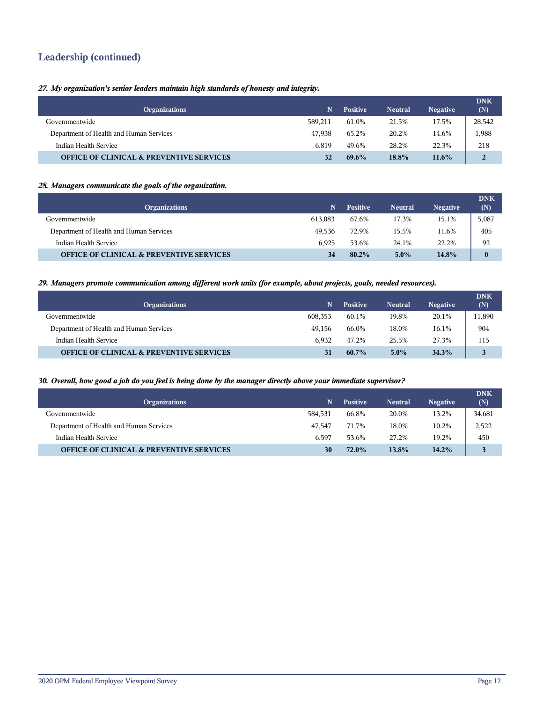## **Leadership (continued)**

#### *27. My organization's senior leaders maintain high standards of honesty and integrity.*

| <b>Organizations</b>                                | N       | <b>Positive</b> | <b>Neutral</b> | <b>Negative</b> | <b>DNK</b><br>(N) |
|-----------------------------------------------------|---------|-----------------|----------------|-----------------|-------------------|
| Governmentwide                                      | 589.211 | 61.0%           | 21.5%          | 17.5%           | 28,542            |
| Department of Health and Human Services             | 47.938  | 65.2%           | 20.2%          | 14.6%           | 1,988             |
| Indian Health Service                               | 6.819   | 49.6%           | 28.2%          | 22.3%           | 218               |
| <b>OFFICE OF CLINICAL &amp; PREVENTIVE SERVICES</b> | 32      | $69.6\%$        | 18.8%          | $11.6\%$        | 2                 |

#### *28. Managers communicate the goals of the organization.*

| <b>Organizations</b>                                | N       | <b>Positive</b> | <b>Neutral</b> | <b>Negative</b> | <b>DNK</b><br>(N) |
|-----------------------------------------------------|---------|-----------------|----------------|-----------------|-------------------|
| Governmentwide                                      | 613.083 | 67.6%           | 17.3%          | 15.1%           | 5,087             |
| Department of Health and Human Services             | 49.536  | 72.9%           | 15.5%          | 11.6%           | 405               |
| Indian Health Service                               | 6.925   | 53.6%           | 24.1%          | 22.2%           | 92                |
| <b>OFFICE OF CLINICAL &amp; PREVENTIVE SERVICES</b> | 34      | 80.2%           | $5.0\%$        | 14.8%           | $\bf{0}$          |

#### *29. Managers promote communication among different work units (for example, about projects, goals, needed resources).*

| <b>Organizations</b>                                | N       | <b>Positive</b> | <b>Neutral</b> | <b>Negative</b> | <b>DNK</b><br>(N) |
|-----------------------------------------------------|---------|-----------------|----------------|-----------------|-------------------|
| Governmentwide                                      | 608,353 | 60.1%           | 19.8%          | 20.1%           | 11,890            |
| Department of Health and Human Services             | 49.156  | 66.0%           | 18.0%          | 16.1%           | 904               |
| Indian Health Service                               | 6.932   | 47.2%           | 25.5%          | 27.3%           | 115               |
| <b>OFFICE OF CLINICAL &amp; PREVENTIVE SERVICES</b> | 31      | $60.7\%$        | $5.0\%$        | 34.3%           | 3                 |

#### *30. Overall, how good a job do you feel is being done by the manager directly above your immediate supervisor?*

| <b>Organizations</b>                                | N       | <b>Positive</b> | <b>Neutral</b> | <b>Negative</b> | <b>DNK</b><br>(N) |
|-----------------------------------------------------|---------|-----------------|----------------|-----------------|-------------------|
| Governmentwide                                      | 584.531 | 66.8%           | 20.0%          | 13.2%           | 34,681            |
| Department of Health and Human Services             | 47.547  | 71.7%           | 18.0%          | 10.2%           | 2,522             |
| Indian Health Service                               | 6.597   | 53.6%           | 27.2%          | 19.2%           | 450               |
| <b>OFFICE OF CLINICAL &amp; PREVENTIVE SERVICES</b> | 30      | 72.0%           | 13.8%          | 14.2%           |                   |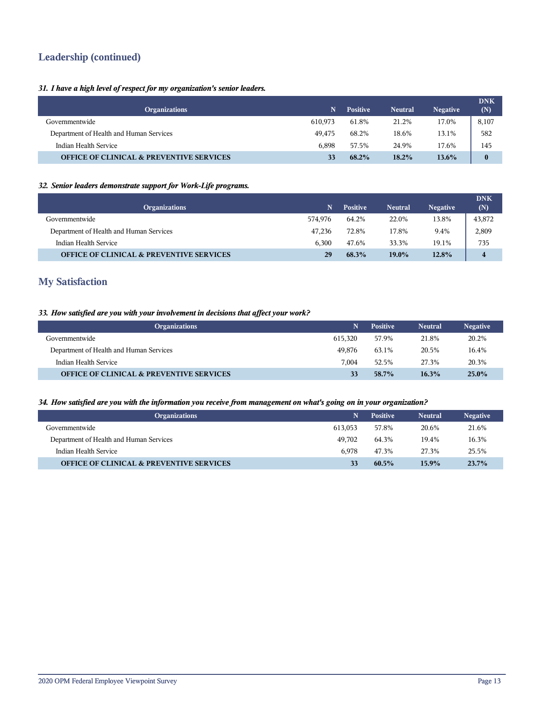## **Leadership (continued)**

#### *31. I have a high level of respect for my organization's senior leaders.*

| <b>Organizations</b>                                | N       | <b>Positive</b> | <b>Neutral</b> | <b>Negative</b> | <b>DNK</b><br>(N) |
|-----------------------------------------------------|---------|-----------------|----------------|-----------------|-------------------|
| Governmentwide                                      | 610.973 | 61.8%           | 21.2%          | 17.0%           | 8,107             |
| Department of Health and Human Services             | 49.475  | 68.2%           | 18.6%          | 13.1%           | 582               |
| Indian Health Service                               | 6.898   | 57.5%           | 24.9%          | 17.6%           | 145               |
| <b>OFFICE OF CLINICAL &amp; PREVENTIVE SERVICES</b> |         | 68.2%           | $18.2\%$       | 13.6%           | $\bf{0}$          |

#### *32. Senior leaders demonstrate support for Work-Life programs.*

| <b>Organizations</b>                                | N       | <b>Positive</b> | <b>Neutral</b> | <b>Negative</b> | <b>DNK</b><br>(N) |
|-----------------------------------------------------|---------|-----------------|----------------|-----------------|-------------------|
| Governmentwide                                      | 574.976 | 64.2%           | 22.0%          | 13.8%           | 43,872            |
| Department of Health and Human Services             | 47.236  | 72.8%           | 17.8%          | 9.4%            | 2,809             |
| Indian Health Service                               | 6.300   | 47.6%           | 33.3%          | 19.1%           | 735               |
| <b>OFFICE OF CLINICAL &amp; PREVENTIVE SERVICES</b> | 29      | 68.3%           | 19.0%          | 12.8%           | 4                 |

## **My Satisfaction**

#### *33. How satisfied are you with your involvement in decisions that affect your work?*

| <b>Organizations</b>                                | N       | <b>Positive</b> | <b>Neutral</b> | <b>Negative</b> |
|-----------------------------------------------------|---------|-----------------|----------------|-----------------|
| Governmentwide                                      | 615.320 | 57.9%           | 21.8%          | 20.2%           |
| Department of Health and Human Services             | 49.876  | 63.1%           | 20.5%          | 16.4%           |
| Indian Health Service                               | 7.004   | 52.5%           | 27.3%          | 20.3%           |
| <b>OFFICE OF CLINICAL &amp; PREVENTIVE SERVICES</b> | 33      | 58.7%           | 16.3%          | $25.0\%$        |

#### *34. How satisfied are you with the information you receive from management on what's going on in your organization?*

| <b>Organizations</b>                                |         | <b>Positive</b> | <b>Neutral</b> | <b>Negative</b> |
|-----------------------------------------------------|---------|-----------------|----------------|-----------------|
| Governmentwide                                      | 613.053 | 57.8%           | 20.6%          | 21.6%           |
| Department of Health and Human Services             | 49.702  | 64.3%           | 19.4%          | 16.3%           |
| Indian Health Service                               | 6.978   | 47.3%           | 27.3%          | 25.5%           |
| <b>OFFICE OF CLINICAL &amp; PREVENTIVE SERVICES</b> | 33      | $60.5\%$        | $15.9\%$       | 23.7%           |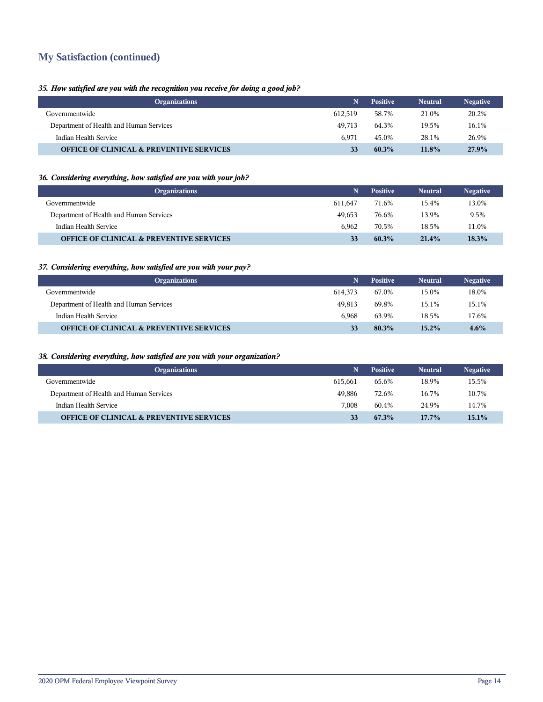## **My Satisfaction (continued)**

#### *35. How satisfied are you with the recognition you receive for doing a good job?*

| <b>Organizations</b>                                |         | <b>Positive</b> | <b>Neutral</b> | <b>Negative</b> |
|-----------------------------------------------------|---------|-----------------|----------------|-----------------|
| Governmentwide                                      | 612.519 | 58.7%           | 21.0%          | 20.2%           |
| Department of Health and Human Services             | 49.713  | 64.3%           | 19.5%          | 16.1%           |
| Indian Health Service                               | 6.971   | 45.0%           | 28.1%          | 26.9%           |
| <b>OFFICE OF CLINICAL &amp; PREVENTIVE SERVICES</b> | 33      | $60.3\%$        | 11.8%          | 27.9%           |

#### *36. Considering everything, how satisfied are you with your job?*

| <b>Organizations</b>                                |         | <b>Positive</b> | <b>Neutral</b> | <b>Negative</b> |
|-----------------------------------------------------|---------|-----------------|----------------|-----------------|
| Governmentwide                                      | 611.647 | 71.6%           | 15.4%          | 13.0%           |
| Department of Health and Human Services             | 49.653  | 76.6%           | 13.9%          | 9.5%            |
| Indian Health Service                               | 6.962   | 70.5%           | 18.5%          | 11.0%           |
| <b>OFFICE OF CLINICAL &amp; PREVENTIVE SERVICES</b> | 33      | $60.3\%$        | 21.4%          | $18.3\%$        |

#### *37. Considering everything, how satisfied are you with your pay?*

| <b>Organizations</b>                                |         | <b>Positive</b> | <b>Neutral</b> | <b>Negative</b> |
|-----------------------------------------------------|---------|-----------------|----------------|-----------------|
| Governmentwide                                      | 614.373 | 67.0%           | 15.0%          | 18.0%           |
| Department of Health and Human Services             | 49.813  | 69.8%           | 15.1%          | 15.1%           |
| Indian Health Service                               | 6.968   | 63.9%           | 18.5%          | 17.6%           |
| <b>OFFICE OF CLINICAL &amp; PREVENTIVE SERVICES</b> |         | $80.3\%$        | $15.2\%$       | $4.6\%$         |

#### *38. Considering everything, how satisfied are you with your organization?*

| <b>Organizations</b>                                |         | <b>Positive</b> | <b>Neutral</b> | <b>Negative</b> |
|-----------------------------------------------------|---------|-----------------|----------------|-----------------|
| Governmentwide                                      | 615.661 | 65.6%           | 18.9%          | 15.5%           |
| Department of Health and Human Services             | 49.886  | 72.6%           | 16.7%          | 10.7%           |
| Indian Health Service                               | 7.008   | 60.4%           | 24.9%          | 14.7%           |
| <b>OFFICE OF CLINICAL &amp; PREVENTIVE SERVICES</b> | 33      | 67.3%           | $17.7\%$       | $15.1\%$        |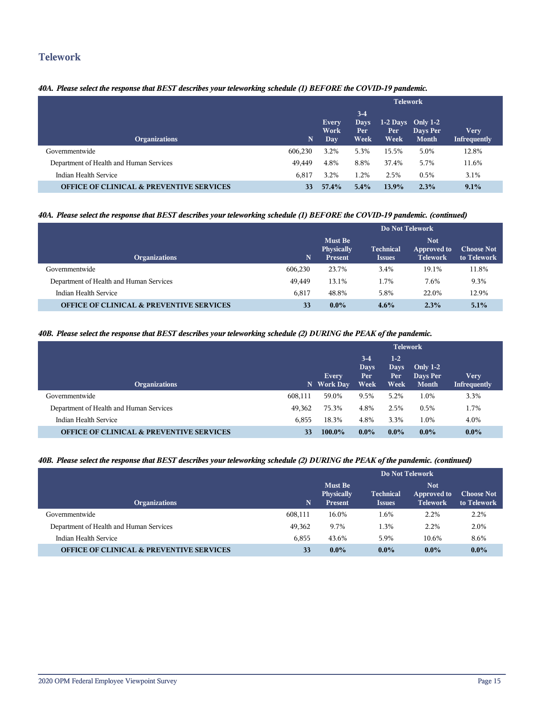## **Telework**

#### *40A. Please select the response that BEST describes your teleworking schedule (1) BEFORE the COVID-19 pandemic.*

|                                                     |             | <b>Telework</b>       |                              |                                     |                          |                                    |
|-----------------------------------------------------|-------------|-----------------------|------------------------------|-------------------------------------|--------------------------|------------------------------------|
| <b>Organizations</b>                                | $\mathbf N$ | Every<br>Work<br>Day. | $3-4$<br>Days<br>Per<br>Week | $1-2$ Days Only 1-2<br>Per.<br>Week | Days Per<br><b>Month</b> | <b>Very</b><br><b>Infrequently</b> |
| Governmentwide                                      | 606,230     | 3.2%                  | 5.3%                         | 15.5%                               | 5.0%                     | 12.8%                              |
| Department of Health and Human Services             | 49,449      | 4.8%                  | 8.8%                         | 37.4%                               | 5.7%                     | 11.6%                              |
| Indian Health Service                               | 6,817       | 3.2%                  | 1.2%                         | 2.5%                                | 0.5%                     | 3.1%                               |
| <b>OFFICE OF CLINICAL &amp; PREVENTIVE SERVICES</b> | 33          | 57.4%                 | $5.4\%$                      | 13.9%                               | 2.3%                     | 9.1%                               |

#### *40A. Please select the response that BEST describes your teleworking schedule (1) BEFORE the COVID-19 pandemic. (continued)*

|                                                     |         | Do Not Telework                                |                                   |                                              |                                  |  |
|-----------------------------------------------------|---------|------------------------------------------------|-----------------------------------|----------------------------------------------|----------------------------------|--|
| <b>Organizations</b>                                | N       | <b>Must Be</b><br>Physically<br><b>Present</b> | <b>Technical</b><br><b>Issues</b> | <b>Not</b><br>Approved to<br><b>Telework</b> | <b>Choose Not</b><br>to Telework |  |
| Governmentwide                                      | 606,230 | 23.7%                                          | 3.4%                              | 19.1%                                        | 11.8%                            |  |
| Department of Health and Human Services             | 49.449  | 13.1%                                          | 1.7%                              | 7.6%                                         | 9.3%                             |  |
| Indian Health Service                               | 6.817   | 48.8%                                          | 5.8%                              | 22.0%                                        | 12.9%                            |  |
| <b>OFFICE OF CLINICAL &amp; PREVENTIVE SERVICES</b> | 33      | $0.0\%$                                        | $4.6\%$                           | 2.3%                                         | $5.1\%$                          |  |

#### *40B. Please select the response that BEST describes your teleworking schedule (2) DURING the PEAK of the pandemic.*

|                                                     |         | <b>Telework</b>            |                              |                                      |                                        |                             |
|-----------------------------------------------------|---------|----------------------------|------------------------------|--------------------------------------|----------------------------------------|-----------------------------|
| <b>Organizations</b>                                |         | <b>Every</b><br>N Work Day | $3-4$<br>Days<br>Per<br>Week | $1-2$<br>Days<br>Per.<br><b>Week</b> | Only $1-2$<br>Days Per<br><b>Month</b> | Very<br><b>Infrequently</b> |
| Governmentwide                                      | 608,111 | 59.0%                      | 9.5%                         | 5.2%                                 | 1.0%                                   | 3.3%                        |
| Department of Health and Human Services             | 49,362  | 75.3%                      | 4.8%                         | 2.5%                                 | 0.5%                                   | 1.7%                        |
| Indian Health Service                               | 6,855   | 18.3%                      | 4.8%                         | 3.3%                                 | 1.0%                                   | 4.0%                        |
| <b>OFFICE OF CLINICAL &amp; PREVENTIVE SERVICES</b> | 33      | 100.0%                     | $0.0\%$                      | $0.0\%$                              | $0.0\%$                                | $0.0\%$                     |

#### *40B. Please select the response that BEST describes your teleworking schedule (2) DURING the PEAK of the pandemic. (continued)*

|                                                     |             | Do Not Telework                                |                                   |                                              |                                  |  |
|-----------------------------------------------------|-------------|------------------------------------------------|-----------------------------------|----------------------------------------------|----------------------------------|--|
| <b>Organizations</b>                                | $\mathbf N$ | <b>Must Be</b><br><b>Physically</b><br>Present | <b>Technical</b><br><b>Issues</b> | <b>Not</b><br>Approved to<br><b>Telework</b> | <b>Choose Not</b><br>to Telework |  |
| Governmentwide                                      | 608,111     | 16.0%                                          | 1.6%                              | 2.2%                                         | 2.2%                             |  |
| Department of Health and Human Services             | 49,362      | 9.7%                                           | 1.3%                              | 2.2%                                         | 2.0%                             |  |
| Indian Health Service                               | 6.855       | 43.6%                                          | 5.9%                              | 10.6%                                        | 8.6%                             |  |
| <b>OFFICE OF CLINICAL &amp; PREVENTIVE SERVICES</b> | 33          | $0.0\%$                                        | $0.0\%$                           | $0.0\%$                                      | $0.0\%$                          |  |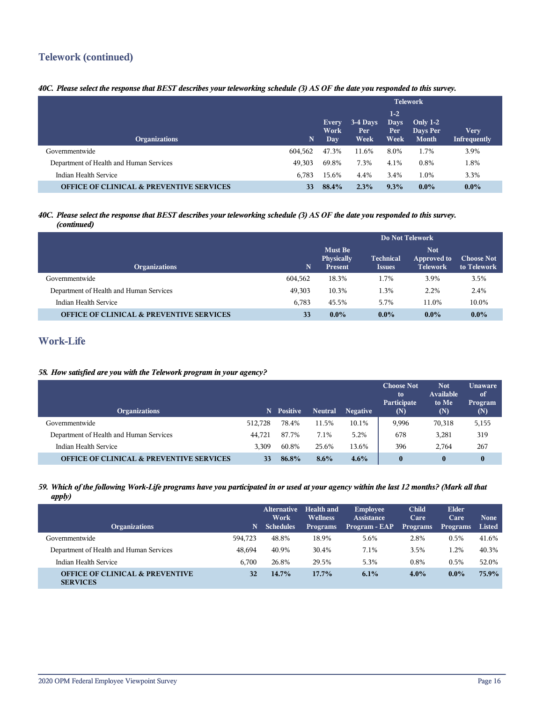## **Telework (continued)**

#### *40C. Please select the response that BEST describes your teleworking schedule (3) AS OF the date you responded to this survey.*

|                                                     |         | <b>Telework</b>             |                           |                                      |                                        |                      |
|-----------------------------------------------------|---------|-----------------------------|---------------------------|--------------------------------------|----------------------------------------|----------------------|
| <b>Organizations</b>                                | N,      | Every<br>Work<br><b>Day</b> | $3-4$ Days<br>Per<br>Week | $1-2$<br><b>Days</b><br>Per.<br>Week | Only $1-2$<br>Days Per<br><b>Month</b> | Very<br>Infrequently |
| Governmentwide                                      | 604.562 | 47.3%                       | 11.6%                     | 8.0%                                 | 1.7%                                   | 3.9%                 |
| Department of Health and Human Services             | 49.303  | 69.8%                       | 7.3%                      | 4.1%                                 | $0.8\%$                                | 1.8%                 |
| Indian Health Service                               | 6.783   | 15.6%                       | 4.4%                      | 3.4%                                 | 1.0%                                   | 3.3%                 |
| <b>OFFICE OF CLINICAL &amp; PREVENTIVE SERVICES</b> | 33      | 88.4%                       | 2.3%                      | 9.3%                                 | $0.0\%$                                | $0.0\%$              |

#### *40C. Please select the response that BEST describes your teleworking schedule (3) AS OF the date you responded to this survey. (continued)*

|                                                     |         | Do Not Telework                         |                                   |                                              |                                  |  |
|-----------------------------------------------------|---------|-----------------------------------------|-----------------------------------|----------------------------------------------|----------------------------------|--|
| <b>Organizations</b>                                | N       | Must Be<br>Physically<br><b>Present</b> | <b>Technical</b><br><b>Issues</b> | <b>Not</b><br>Approved to<br><b>Telework</b> | <b>Choose Not</b><br>to Telework |  |
| Governmentwide                                      | 604,562 | 18.3%                                   | 1.7%                              | 3.9%                                         | 3.5%                             |  |
| Department of Health and Human Services             | 49,303  | 10.3%                                   | 1.3%                              | 2.2%                                         | 2.4%                             |  |
| Indian Health Service                               | 6.783   | 45.5%                                   | 5.7%                              | 11.0%                                        | 10.0%                            |  |
| <b>OFFICE OF CLINICAL &amp; PREVENTIVE SERVICES</b> | 33      | $0.0\%$                                 | $0.0\%$                           | $0.0\%$                                      | $0.0\%$                          |  |

## **Work-Life**

#### *58. How satisfied are you with the Telework program in your agency?*

| <b>Organizations</b>                                | N.      | <b>Positive</b> | <b>Neutral</b> | <b>Negative</b> | <b>Choose Not</b><br>to<br>Participate<br>(N) | <b>Not</b><br>Available<br>to Me<br>(N) | <b>Unaware</b><br>of<br>Program<br>(N) |
|-----------------------------------------------------|---------|-----------------|----------------|-----------------|-----------------------------------------------|-----------------------------------------|----------------------------------------|
| Governmentwide                                      | 512.728 | 78.4%           | 11.5%          | 10.1%           | 9,996                                         | 70,318                                  | 5,155                                  |
| Department of Health and Human Services             | 44.721  | 87.7%           | 7.1%           | 5.2%            | 678                                           | 3,281                                   | 319                                    |
| Indian Health Service                               | 3.309   | 60.8%           | 25.6%          | 13.6%           | 396                                           | 2,764                                   | 267                                    |
| <b>OFFICE OF CLINICAL &amp; PREVENTIVE SERVICES</b> | 33      | 86.8%           | 8.6%           | $4.6\%$         | $\boldsymbol{0}$                              | $\bf{0}$                                | $\bf{0}$                               |

#### *59. Which of the following Work-Life programs have you participated in or used at your agency within the last 12 months? (Mark all that apply)*

| <b>Organizations</b>                                          | N.      | <b>Alternative</b><br>Work<br><b>Schedules</b> | <b>Health and</b><br><b>Wellness</b><br><b>Programs</b> | <b>Employee</b><br><b>Assistance</b><br>Program - EAP | <b>Child</b><br>Care<br><b>Programs</b> | <b>Elder</b><br>Care<br><b>Programs</b> | <b>None</b><br>Listed |
|---------------------------------------------------------------|---------|------------------------------------------------|---------------------------------------------------------|-------------------------------------------------------|-----------------------------------------|-----------------------------------------|-----------------------|
|                                                               |         |                                                |                                                         |                                                       |                                         |                                         |                       |
| Governmentwide                                                | 594.723 | 48.8%                                          | 18.9%                                                   | 5.6%                                                  | 2.8%                                    | 0.5%                                    | 41.6%                 |
| Department of Health and Human Services                       | 48.694  | 40.9%                                          | 30.4%                                                   | 7.1%                                                  | 3.5%                                    | 1.2%                                    | 40.3%                 |
| Indian Health Service                                         | 6.700   | 26.8%                                          | 29.5%                                                   | 5.3%                                                  | 0.8%                                    | 0.5%                                    | 52.0%                 |
| <b>OFFICE OF CLINICAL &amp; PREVENTIVE</b><br><b>SERVICES</b> | 32      | $14.7\%$                                       | $17.7\%$                                                | 6.1%                                                  | $4.0\%$                                 | $0.0\%$                                 | 75.9%                 |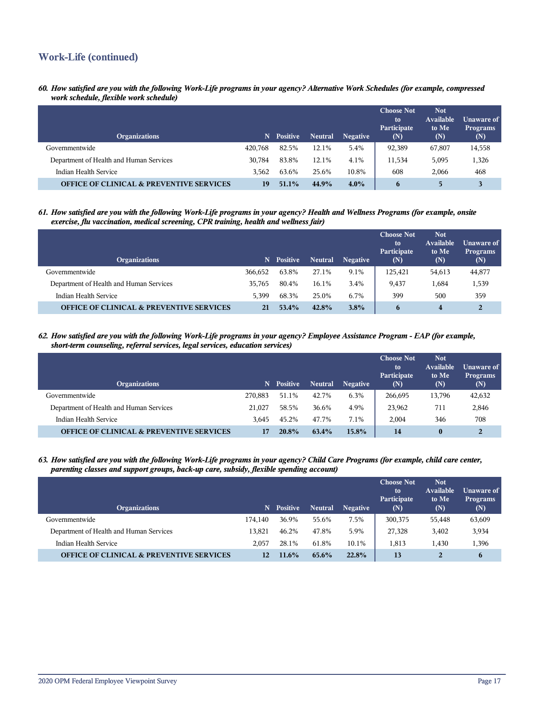## **Work-Life (continued)**

*60. How satisfied are you with the following Work-Life programs in your agency? Alternative Work Schedules (for example, compressed work schedule, flexible work schedule)*

| <b>Organizations</b>                                |         | N Positive | <b>Neutral</b> | <b>Negative</b> | <b>Choose Not</b><br>to<br>Participate<br>(N) | <b>Not</b><br>Available<br>to Me<br>(N) | <b>Unaware of</b><br><b>Programs</b><br>(N) |
|-----------------------------------------------------|---------|------------|----------------|-----------------|-----------------------------------------------|-----------------------------------------|---------------------------------------------|
| Governmentwide                                      | 420.768 | 82.5%      | 12.1%          | 5.4%            | 92,389                                        | 67,807                                  | 14,558                                      |
| Department of Health and Human Services             | 30.784  | 83.8%      | 12.1%          | 4.1%            | 11,534                                        | 5,095                                   | 1,326                                       |
| Indian Health Service                               | 3.562   | 63.6%      | 25.6%          | 10.8%           | 608                                           | 2.066                                   | 468                                         |
| <b>OFFICE OF CLINICAL &amp; PREVENTIVE SERVICES</b> | 19      | $51.1\%$   | 44.9%          | $4.0\%$         | 6                                             | 5                                       |                                             |

*61. How satisfied are you with the following Work-Life programs in your agency? Health and Wellness Programs (for example, onsite exercise, flu vaccination, medical screening, CPR training, health and wellness fair)*

| <b>Organizations</b>                                |         | N Positive | <b>Neutral</b> | <b>Negative</b> | <b>Choose Not</b><br>to<br>Participate<br>(N) | <b>Not</b><br><b>Available</b><br>to Me<br>(N) | Unaware of<br><b>Programs</b><br>(N) |
|-----------------------------------------------------|---------|------------|----------------|-----------------|-----------------------------------------------|------------------------------------------------|--------------------------------------|
| Governmentwide                                      | 366,652 | 63.8%      | 27.1%          | 9.1%            | 125,421                                       | 54,613                                         | 44,877                               |
| Department of Health and Human Services             | 35.765  | 80.4%      | 16.1%          | 3.4%            | 9,437                                         | 1,684                                          | 1,539                                |
| Indian Health Service                               | 5.399   | 68.3%      | 25.0%          | 6.7%            | 399                                           | 500                                            | 359                                  |
| <b>OFFICE OF CLINICAL &amp; PREVENTIVE SERVICES</b> | 21      | 53.4%      | 42.8%          | $3.8\%$         | 6                                             | 4                                              | $\overline{2}$                       |

*62. How satisfied are you with the following Work-Life programs in your agency? Employee Assistance Program - EAP (for example, short-term counseling, referral services, legal services, education services)*

| <b>Organizations</b>                                | N.      | <b>Positive</b> | Neutral | <b>Negative</b> | <b>Choose Not</b><br>to<br>Participate<br>(N) | <b>Not</b><br>Available<br>to Me<br>(N) | Unaware of<br><b>Programs</b><br>(N) |
|-----------------------------------------------------|---------|-----------------|---------|-----------------|-----------------------------------------------|-----------------------------------------|--------------------------------------|
| Governmentwide                                      | 270.883 | 51.1%           | 42.7%   | 6.3%            | 266,695                                       | 13,796                                  | 42,632                               |
| Department of Health and Human Services             | 21.027  | 58.5%           | 36.6%   | 4.9%            | 23,962                                        | 711                                     | 2,846                                |
| Indian Health Service                               | 3.645   | 45.2%           | 47.7%   | 7.1%            | 2.004                                         | 346                                     | 708                                  |
| <b>OFFICE OF CLINICAL &amp; PREVENTIVE SERVICES</b> | 17      | 20.8%           | 63.4%   | 15.8%           | 14                                            | $\bf{0}$                                | $\overline{2}$                       |

*63. How satisfied are you with the following Work-Life programs in your agency? Child Care Programs (for example, child care center, parenting classes and support groups, back-up care, subsidy, flexible spending account)*

| <b>Organizations</b>                                |         | N Positive | <b>Neutral</b> | <b>Negative</b> | <b>Choose Not</b><br>to<br>Participate<br>(N) | <b>Not</b><br>Available<br>to Me<br>(N) | Unaware of<br><b>Programs</b><br>(N) |
|-----------------------------------------------------|---------|------------|----------------|-----------------|-----------------------------------------------|-----------------------------------------|--------------------------------------|
| Governmentwide                                      | 174.140 | 36.9%      | 55.6%          | 7.5%            | 300,375                                       | 55,448                                  | 63,609                               |
| Department of Health and Human Services             | 13.821  | 46.2%      | 47.8%          | 5.9%            | 27.328                                        | 3,402                                   | 3,934                                |
| Indian Health Service                               | 2.057   | 28.1%      | 61.8%          | 10.1%           | 1,813                                         | 1,430                                   | 1,396                                |
| <b>OFFICE OF CLINICAL &amp; PREVENTIVE SERVICES</b> | 12      | $11.6\%$   | $65.6\%$       | 22.8%           | 13                                            |                                         | 6                                    |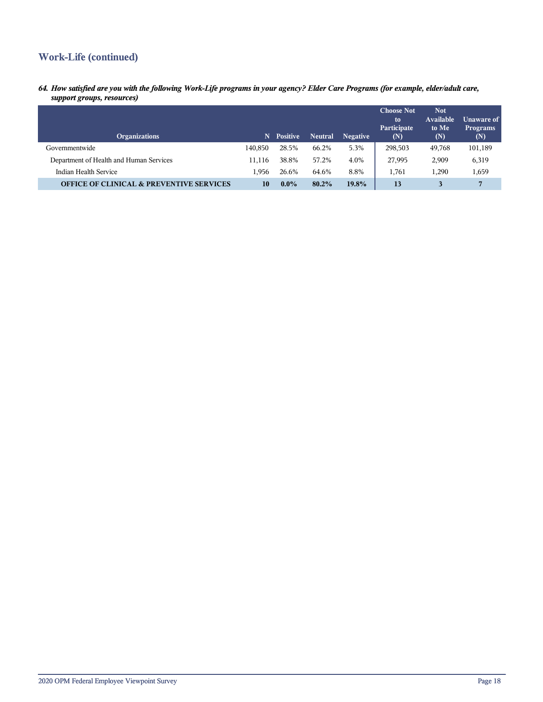## **Work-Life (continued)**

*64. How satisfied are you with the following Work-Life programs in your agency? Elder Care Programs (for example, elder/adult care, support groups, resources)*

| <b>Organizations</b>                                | N       | <b>Positive</b> | <b>Neutral</b> | <b>Negative</b> | <b>Choose Not</b><br>to<br>Participate<br>(N) | <b>Not</b><br>Available<br>to Me<br>(N) | Unaware of<br><b>Programs</b><br>(N) |
|-----------------------------------------------------|---------|-----------------|----------------|-----------------|-----------------------------------------------|-----------------------------------------|--------------------------------------|
| Governmentwide                                      | 140.850 | 28.5%           | 66.2%          | 5.3%            | 298,503                                       | 49.768                                  | 101,189                              |
| Department of Health and Human Services             | 11.116  | 38.8%           | 57.2%          | 4.0%            | 27,995                                        | 2,909                                   | 6,319                                |
| Indian Health Service                               | 1,956   | 26.6%           | 64.6%          | 8.8%            | 1,761                                         | 1,290                                   | 1,659                                |
| <b>OFFICE OF CLINICAL &amp; PREVENTIVE SERVICES</b> | 10      | $0.0\%$         | $80.2\%$       | 19.8%           | 13                                            |                                         | 7                                    |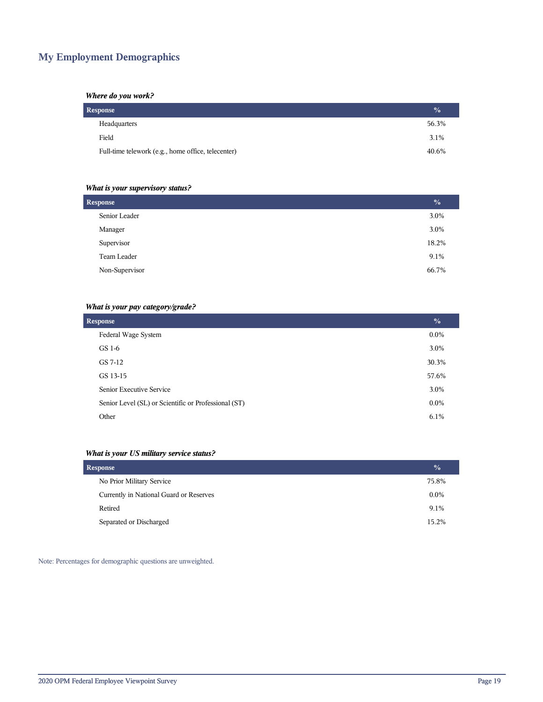## **My Employment Demographics**

#### *Where do you work?*

| Response                                           | $\frac{0}{0}$ |
|----------------------------------------------------|---------------|
| Headquarters                                       | 56.3%         |
| Field                                              | 3.1%          |
| Full-time telework (e.g., home office, telecenter) | 40.6%         |

#### *What is your supervisory status?*

| <b>Response</b> | $\frac{0}{0}$ |
|-----------------|---------------|
| Senior Leader   | 3.0%          |
| Manager         | 3.0%          |
| Supervisor      | 18.2%         |
| Team Leader     | 9.1%          |
| Non-Supervisor  | 66.7%         |
|                 |               |

#### *What is your pay category/grade?*

| <b>Response</b>                                      | $\frac{0}{0}$ |
|------------------------------------------------------|---------------|
| Federal Wage System                                  | $0.0\%$       |
| GS 1-6                                               | 3.0%          |
| GS 7-12                                              | 30.3%         |
| GS 13-15                                             | 57.6%         |
| Senior Executive Service                             | 3.0%          |
| Senior Level (SL) or Scientific or Professional (ST) | $0.0\%$       |
| Other                                                | 6.1%          |

#### *What is your US military service status?*

| Response                                | $\frac{0}{0}$ |
|-----------------------------------------|---------------|
| No Prior Military Service               | 75.8%         |
| Currently in National Guard or Reserves | $0.0\%$       |
| Retired                                 | 9.1%          |
| Separated or Discharged                 | 15.2%         |

Note: Percentages for demographic questions are unweighted.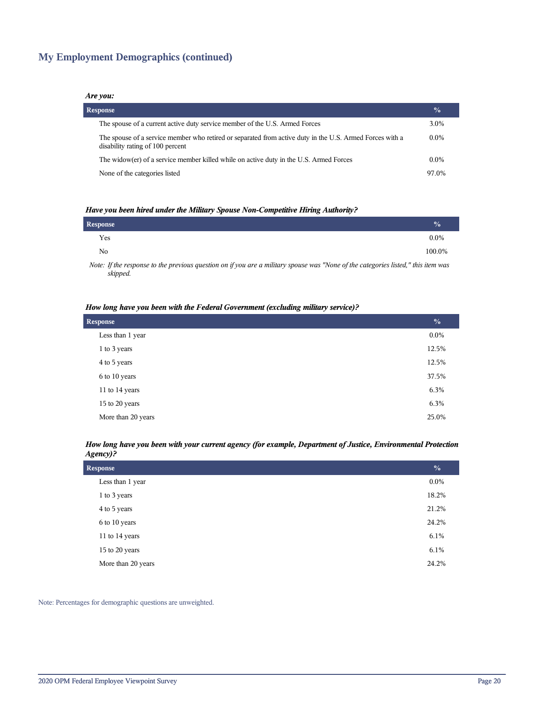## **My Employment Demographics (continued)**

#### *Are you:*

| <b>Response</b>                                                                                                                              | $\frac{0}{0}$ |
|----------------------------------------------------------------------------------------------------------------------------------------------|---------------|
| The spouse of a current active duty service member of the U.S. Armed Forces                                                                  | 3.0%          |
| The spouse of a service member who retired or separated from active duty in the U.S. Armed Forces with a<br>disability rating of 100 percent | $0.0\%$       |
| The widow(er) of a service member killed while on active duty in the U.S. Armed Forces                                                       | $0.0\%$       |
| None of the categories listed                                                                                                                | 97.0%         |

#### *Have you been hired under the Military Spouse Non-Competitive Hiring Authority?*

| Response |                                                                                                                 |  |   |  |   | $\frac{0}{0}$ |
|----------|-----------------------------------------------------------------------------------------------------------------|--|---|--|---|---------------|
| Yes      |                                                                                                                 |  |   |  |   | $0.0\%$       |
| No       |                                                                                                                 |  |   |  |   | 100.0%        |
|          | the contract of the contract of the contract of the contract of the contract of the contract of the contract of |  | . |  | . |               |

*Note: If the response to the previous question on if you are a military spouse was "None of the categories listed," this item was skipped.*

#### *How long have you been with the Federal Government (excluding military service)?*

| <b>Response</b>    | $\frac{0}{0}$ |
|--------------------|---------------|
| Less than 1 year   | $0.0\%$       |
| 1 to 3 years       | 12.5%         |
| 4 to 5 years       | 12.5%         |
| 6 to 10 years      | 37.5%         |
| 11 to 14 years     | 6.3%          |
| 15 to 20 years     | 6.3%          |
| More than 20 years | 25.0%         |

#### *How long have you been with your current agency (for example, Department of Justice, Environmental Protection Agency)?*

| <b>Response</b>    | $\frac{0}{0}$ |
|--------------------|---------------|
| Less than 1 year   | $0.0\%$       |
| 1 to 3 years       | 18.2%         |
| 4 to 5 years       | 21.2%         |
| 6 to 10 years      | 24.2%         |
| 11 to 14 years     | 6.1%          |
| 15 to 20 years     | $6.1\%$       |
| More than 20 years | 24.2%         |

Note: Percentages for demographic questions are unweighted.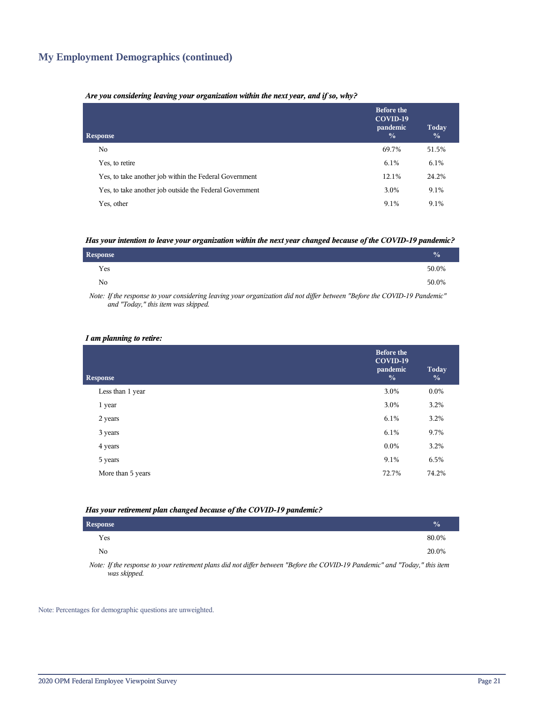## **My Employment Demographics (continued)**

#### *Are you considering leaving your organization within the next year, and if so, why?*

| <b>Response</b>                                         | <b>Before the</b><br>COVID-19<br>pandemic<br>$\frac{0}{0}$ | Today<br>$\frac{0}{0}$ |
|---------------------------------------------------------|------------------------------------------------------------|------------------------|
| No.                                                     | 69.7%                                                      | 51.5%                  |
| Yes, to retire                                          | 6.1%                                                       | 6.1%                   |
| Yes, to take another job within the Federal Government  | 12.1%                                                      | 24.2%                  |
| Yes, to take another job outside the Federal Government | 3.0%                                                       | 9.1%                   |
| Yes, other                                              | 9.1%                                                       | 9.1%                   |

#### *Has your intention to leave your organization within the next year changed because of the COVID-19 pandemic?*

| Response       | $\frac{1}{2}$ |
|----------------|---------------|
| Yes            | 50.0%         |
| N <sub>0</sub> | 50.0%         |

*Note: If the response to your considering leaving your organization did not differ between "Before the COVID-19 Pandemic" and "Today," this item was skipped.*

#### *I am planning to retire:*

| <b>Response</b>   | <b>Before the</b><br>COVID-19<br>pandemic<br>$\frac{0}{0}$ | Today<br>$\frac{0}{0}$ |
|-------------------|------------------------------------------------------------|------------------------|
| Less than 1 year  | 3.0%                                                       | $0.0\%$                |
| 1 year            | 3.0%                                                       | 3.2%                   |
| 2 years           | 6.1%                                                       | 3.2%                   |
| 3 years           | 6.1%                                                       | 9.7%                   |
| 4 years           | $0.0\%$                                                    | 3.2%                   |
| 5 years           | 9.1%                                                       | 6.5%                   |
| More than 5 years | 72.7%                                                      | 74.2%                  |
|                   |                                                            |                        |

#### *Has your retirement plan changed because of the COVID-19 pandemic?*

| Response                                                                                                                      | $\sqrt{2}$ |
|-------------------------------------------------------------------------------------------------------------------------------|------------|
| Yes                                                                                                                           | 80.0%      |
| No                                                                                                                            | 20.0%      |
| Mater Hilly non root to communicate and along Hill and HPan bakengan HD afang the COMD 10 Day Jami'all and HTs Jam Hilly itam |            |

*Note: If the response to your retirement plans did not differ between "Before the COVID-19 Pandemic" and "Today," this item was skipped.*

Note: Percentages for demographic questions are unweighted.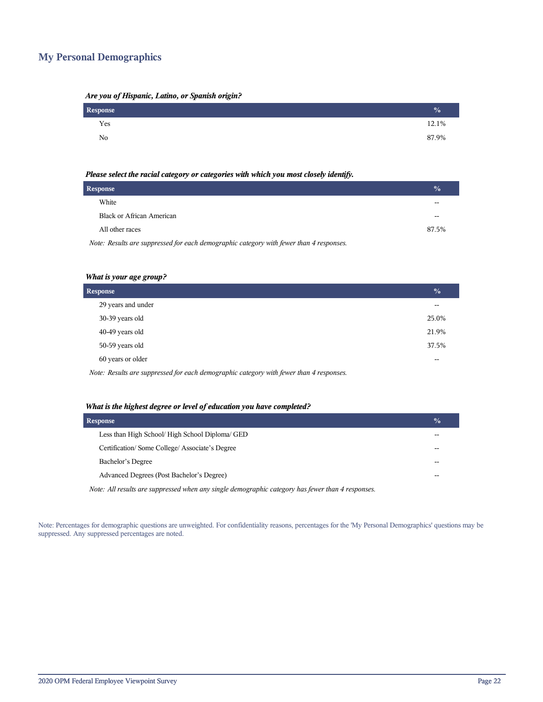## **My Personal Demographics**

| Are you of Hispanic, Latino, or Spanish origin? |  |  |
|-------------------------------------------------|--|--|
|                                                 |  |  |

| Response | $\frac{0}{0}$ |
|----------|---------------|
| Yes      | 12.1%         |
| No       | 87.9%         |

#### *Please select the racial category or categories with which you most closely identify.*

| Response                                                                                | $\frac{1}{2}$ |
|-----------------------------------------------------------------------------------------|---------------|
| White                                                                                   | --            |
| <b>Black or African American</b>                                                        |               |
| All other races                                                                         | 87.5%         |
| Note: Results are suppressed for each demographic category with fewer than 4 responses. |               |

#### *What is your age group?*

| Response           | $\sqrt{0}$ |
|--------------------|------------|
| 29 years and under | $-$        |
| 30-39 years old    | 25.0%      |
| 40-49 years old    | 21.9%      |
| 50-59 years old    | 37.5%      |
| 60 years or older  | $-$        |
| .                  |            |

*Note: Results are suppressed for each demographic category with fewer than 4 responses.*

#### *What is the highest degree or level of education you have completed?*

| <b>Response</b>                                                                                   | $\frac{0}{0}$ |
|---------------------------------------------------------------------------------------------------|---------------|
| Less than High School/ High School Diploma/ GED                                                   |               |
| Certification/Some College/Associate's Degree                                                     |               |
| Bachelor's Degree                                                                                 |               |
| Advanced Degrees (Post Bachelor's Degree)                                                         |               |
| Note: All results are suppressed when any single demographic category has fewer than 4 responses. |               |

Note: Percentages for demographic questions are unweighted. For confidentiality reasons, percentages for the 'My Personal Demographics' questions may be suppressed. Any suppressed percentages are noted.